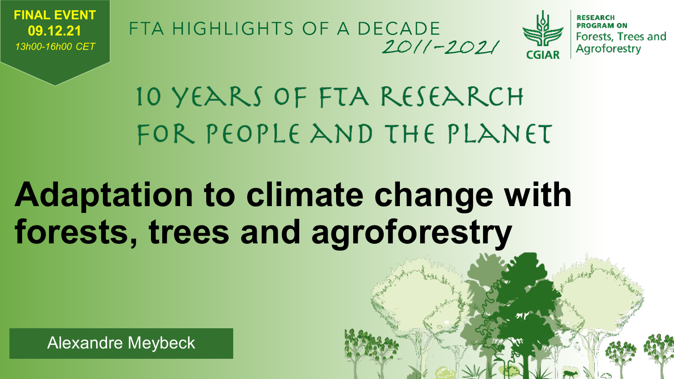

FTA HIGHLIGHTS OF A DECADE  $2011 - 2021$ 



10 YEARS OF FTA RESEARCH FOR PEOPLE AND THE PLANET

## **Adaptation to climate change with forests, trees and agroforestry**

Alexandre Meybeck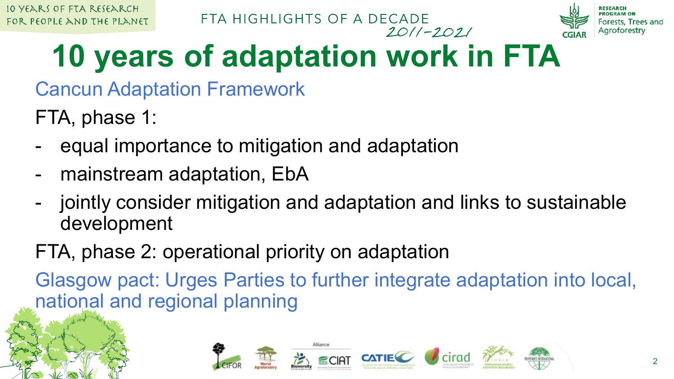



## **10 years of adaptation work in FTA**

Cancun Adaptation Framework

FTA, phase 1:

- equal importance to mitigation and adaptation
- mainstream adaptation, EbA
- jointly consider mitigation and adaptation and links to sustainable development

### FTA, phase 2: operational priority on adaptation

Glasgow pact: Urges Parties to further integrate adaptation into local, national and regional planning

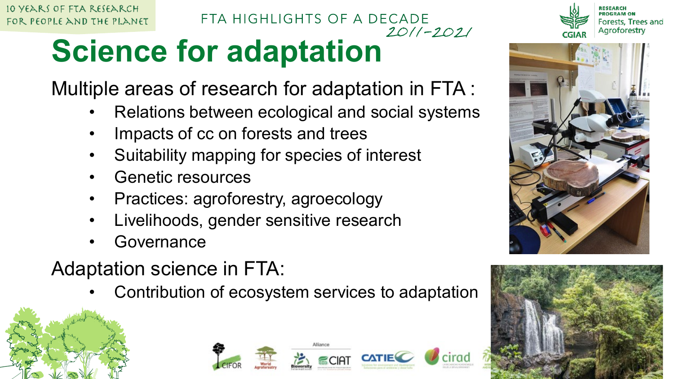10 YEARS OF FTA RESEARCH FOR PEOPLE AND THE PLANET

#### FTA HIGHLIGHTS OF A DECADE  $2011 - 2021$

## **Science for adaptation**

Multiple areas of research for adaptation in FTA :

- Relations between ecological and social systems
- Impacts of cc on forests and trees
- Suitability mapping for species of interest
- Genetic resources
- Practices: agroforestry, agroecology
- Livelihoods, gender sensitive research
- **Governance**
- Adaptation science in FTA:
	- Contribution of ecosystem services to adaptation









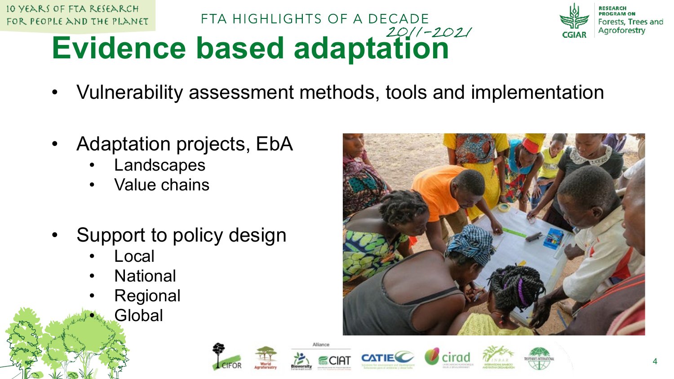



# **Evidence based adaptation**

• Vulnerability assessment methods, tools and implementation

FTA HIGHLIGHTS OF A DECADE

- Adaptation projects, EbA
	- **Landscapes**
	- Value chains
- Support to policy design
	- **Local**
	- **National**
	- **Regional** 
		- **Global**